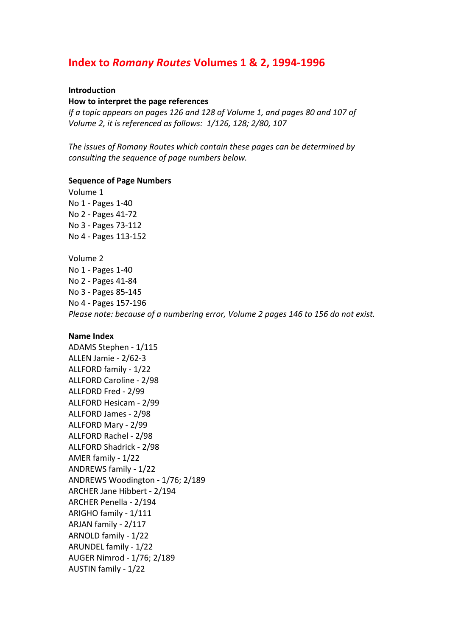# **Index to** *Romany Routes* **Volumes 1 & 2, 1994-1996**

## **Introduction**

#### **How to interpret the page references**

*If a topic appears on pages 126 and 128 of Volume 1, and pages 80 and 107 of Volume 2, it is referenced as follows: 1/126, 128; 2/80, 107* 

The issues of Romany Routes which contain these pages can be determined by consulting the sequence of page numbers below.

## **Sequence of Page Numbers**

Volume 1 No 1 - Pages 1-40 No 2 - Pages 41-72 No 3 - Pages 73-112 No 4 - Pages 113-152 Volume 2 No 1 - Pages 1-40 No 2 - Pages 41-84 No 3 - Pages 85-145 No 4 - Pages 157-196 

*Please note: because of a numbering error, Volume 2 pages 146 to 156 do not exist.* 

# **Name Index**

ADAMS Stephen - 1/115 ALLEN Jamie - 2/62-3 ALLFORD family - 1/22 ALLFORD Caroline - 2/98 ALLFORD Fred - 2/99 ALLFORD Hesicam - 2/99 ALLFORD James - 2/98 ALLFORD Mary - 2/99 ALLFORD Rachel - 2/98 ALLFORD Shadrick - 2/98 AMER family - 1/22 ANDREWS family - 1/22 ANDREWS Woodington - 1/76; 2/189 ARCHER Jane Hibbert - 2/194 ARCHER Penella - 2/194 ARIGHO family - 1/111 ARJAN family - 2/117 ARNOLD family - 1/22 ARUNDEL family - 1/22 AUGER Nimrod - 1/76; 2/189 AUSTIN family - 1/22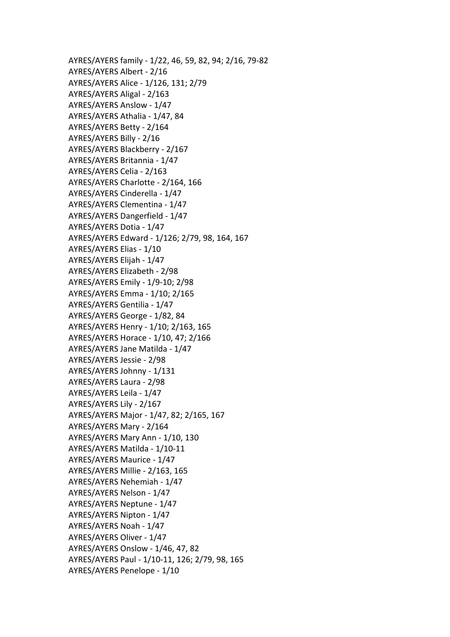AYRES/AYERS family - 1/22, 46, 59, 82, 94; 2/16, 79-82 AYRES/AYERS Albert - 2/16 AYRES/AYERS Alice - 1/126, 131; 2/79 AYRES/AYERS Aligal - 2/163 AYRES/AYERS Anslow - 1/47 AYRES/AYERS Athalia - 1/47, 84 AYRES/AYERS Betty - 2/164 AYRES/AYERS Billy - 2/16 AYRES/AYERS Blackberry - 2/167 AYRES/AYERS Britannia - 1/47 AYRES/AYERS Celia - 2/163 AYRES/AYERS Charlotte - 2/164, 166 AYRES/AYERS Cinderella - 1/47 AYRES/AYERS Clementina - 1/47 AYRES/AYERS Dangerfield - 1/47 AYRES/AYERS Dotia - 1/47 AYRES/AYERS Edward - 1/126; 2/79, 98, 164, 167 AYRES/AYERS Elias - 1/10 AYRES/AYERS Elijah - 1/47 AYRES/AYERS Elizabeth - 2/98 AYRES/AYERS Emily - 1/9-10; 2/98 AYRES/AYERS Emma - 1/10; 2/165 AYRES/AYERS Gentilia - 1/47 AYRES/AYERS George - 1/82, 84 AYRES/AYERS Henry - 1/10; 2/163, 165 AYRES/AYERS Horace - 1/10, 47; 2/166 AYRES/AYERS Jane Matilda - 1/47 AYRES/AYERS Jessie - 2/98 AYRES/AYERS Johnny - 1/131 AYRES/AYERS Laura - 2/98 AYRES/AYERS Leila - 1/47 AYRES/AYERS Lily - 2/167 AYRES/AYERS Major - 1/47, 82; 2/165, 167 AYRES/AYERS Mary - 2/164 AYRES/AYERS Mary Ann - 1/10, 130 AYRES/AYERS Matilda - 1/10-11 AYRES/AYERS Maurice - 1/47 AYRES/AYERS Millie - 2/163, 165 AYRES/AYERS Nehemiah - 1/47 AYRES/AYERS Nelson - 1/47 AYRES/AYERS Neptune - 1/47 AYRES/AYERS Nipton - 1/47 AYRES/AYERS Noah - 1/47 AYRES/AYERS Oliver - 1/47 AYRES/AYERS Onslow - 1/46, 47, 82 AYRES/AYERS Paul - 1/10-11, 126; 2/79, 98, 165 AYRES/AYERS Penelope - 1/10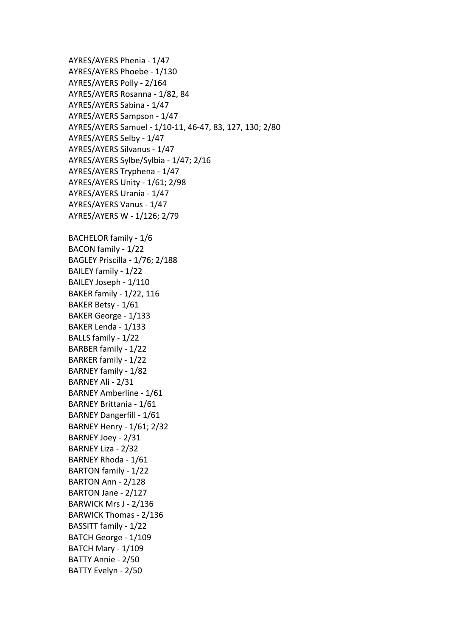AYRES/AYERS Phenia - 1/47 AYRES/AYERS Phoebe - 1/130 AYRES/AYERS Polly - 2/164 AYRES/AYERS Rosanna - 1/82, 84 AYRES/AYERS Sabina - 1/47 AYRES/AYERS Sampson - 1/47 AYRES/AYERS Samuel - 1/10-11, 46-47, 83, 127, 130; 2/80 AYRES/AYERS Selby - 1/47 AYRES/AYERS Silvanus - 1/47 AYRES/AYERS Sylbe/Sylbia - 1/47; 2/16 AYRES/AYERS Tryphena - 1/47 AYRES/AYERS Unity - 1/61; 2/98 AYRES/AYERS Urania - 1/47 AYRES/AYERS Vanus - 1/47 AYRES/AYERS W - 1/126; 2/79 BACHELOR family - 1/6 BACON family - 1/22 BAGLEY Priscilla - 1/76; 2/188 BAILEY family - 1/22 BAILEY Joseph - 1/110 BAKER family - 1/22, 116 BAKER Betsy - 1/61 BAKER George - 1/133 BAKER Lenda - 1/133 BALLS family - 1/22 BARBER family - 1/22 BARKER family - 1/22 BARNEY family - 1/82 BARNEY Ali - 2/31 BARNEY Amberline - 1/61 BARNEY Brittania - 1/61 BARNEY Dangerfill - 1/61 BARNEY Henry - 1/61; 2/32 BARNEY Joey - 2/31 BARNEY Liza - 2/32 BARNEY Rhoda - 1/61 BARTON family - 1/22 BARTON Ann - 2/128 BARTON Jane - 2/127 BARWICK Mrs J - 2/136 BARWICK Thomas - 2/136 BASSITT family - 1/22 BATCH George - 1/109 BATCH Mary - 1/109 BATTY Annie - 2/50 BATTY Evelyn - 2/50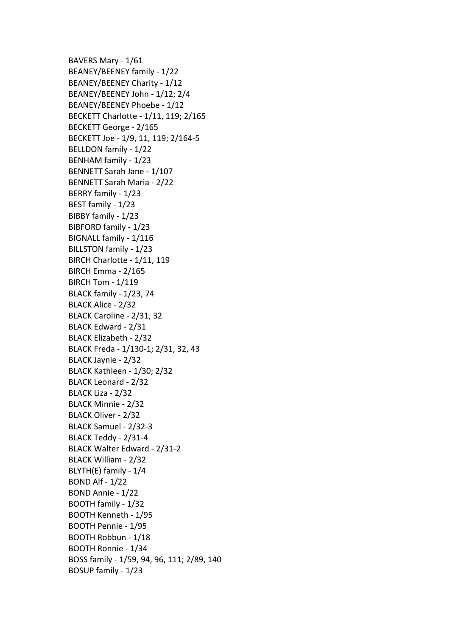BAVERS Mary - 1/61 BEANEY/BEENEY family - 1/22 BEANEY/BEENEY Charity - 1/12 BEANEY/BEENEY John - 1/12; 2/4 BEANEY/BEENEY Phoebe - 1/12 BECKETT Charlotte - 1/11, 119; 2/165 BECKETT George - 2/165 BECKETT Joe - 1/9, 11, 119; 2/164-5 BELLDON family - 1/22 BENHAM family - 1/23 BENNETT Sarah Jane - 1/107 BENNETT Sarah Maria - 2/22 BERRY family - 1/23 BEST family - 1/23 BIBBY family - 1/23 BIBFORD family - 1/23 BIGNALL family - 1/116 BILLSTON family - 1/23 BIRCH Charlotte - 1/11, 119 **BIRCH Emma - 2/165 BIRCH Tom - 1/119** BLACK family - 1/23, 74 BLACK Alice - 2/32 BLACK Caroline - 2/31, 32 BLACK Edward - 2/31 BLACK Elizabeth - 2/32 BLACK Freda - 1/130-1; 2/31, 32, 43 BLACK Jaynie - 2/32 BLACK Kathleen - 1/30: 2/32 BLACK Leonard - 2/32 BLACK Liza - 2/32 BLACK Minnie - 2/32 BLACK Oliver - 2/32 BLACK Samuel - 2/32-3 BLACK Teddy - 2/31-4 BLACK Walter Edward - 2/31-2 BLACK William - 2/32 BLYTH(E) family - 1/4 BOND Alf  $- 1/22$ BOND Annie - 1/22 BOOTH family - 1/32 BOOTH Kenneth - 1/95 BOOTH Pennie - 1/95 BOOTH Robbun - 1/18 BOOTH Ronnie - 1/34 BOSS family - 1/59, 94, 96, 111; 2/89, 140 BOSUP family - 1/23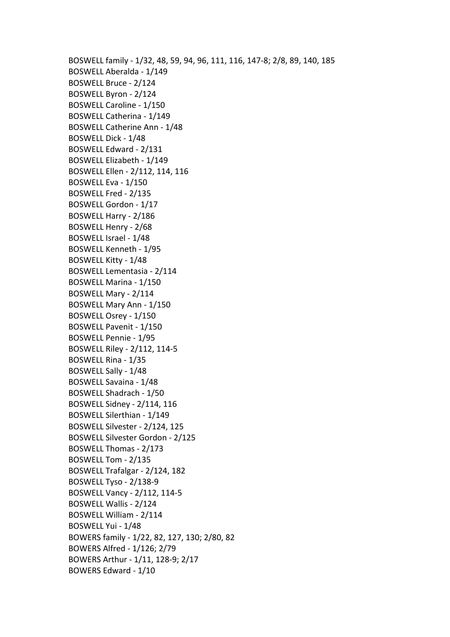BOSWELL family - 1/32, 48, 59, 94, 96, 111, 116, 147-8; 2/8, 89, 140, 185 BOSWELL Aberalda - 1/149 BOSWELL Bruce - 2/124 BOSWELL Byron - 2/124 BOSWELL Caroline - 1/150 BOSWELL Catherina - 1/149 BOSWELL Catherine Ann - 1/48 BOSWELL Dick - 1/48 BOSWELL Edward - 2/131 BOSWELL Elizabeth - 1/149 BOSWELL Ellen - 2/112, 114, 116 BOSWELL Eva - 1/150 BOSWELL Fred - 2/135 BOSWELL Gordon - 1/17 BOSWELL Harry - 2/186 BOSWELL Henry - 2/68 BOSWELL Israel - 1/48 BOSWELL Kenneth - 1/95 BOSWELL Kitty - 1/48 BOSWELL Lementasia - 2/114 BOSWELL Marina - 1/150 BOSWELL Mary - 2/114 BOSWELL Mary Ann - 1/150 BOSWELL Osrey - 1/150 BOSWELL Pavenit - 1/150 BOSWELL Pennie - 1/95 BOSWELL Riley - 2/112, 114-5 BOSWELL Rina - 1/35 BOSWELL Sally - 1/48 BOSWELL Savaina - 1/48 BOSWELL Shadrach - 1/50 BOSWELL Sidney - 2/114, 116 BOSWELL Silerthian - 1/149 BOSWELL Silvester - 2/124, 125 BOSWELL Silvester Gordon - 2/125 BOSWELL Thomas - 2/173 BOSWELL Tom - 2/135 BOSWELL Trafalgar - 2/124, 182 BOSWELL Tyso - 2/138-9 BOSWELL Vancy - 2/112, 114-5 BOSWELL Wallis - 2/124 BOSWELL William - 2/114 BOSWELL Yui - 1/48 BOWERS family - 1/22, 82, 127, 130; 2/80, 82 BOWERS Alfred - 1/126; 2/79 BOWERS Arthur - 1/11, 128-9; 2/17 BOWERS Edward - 1/10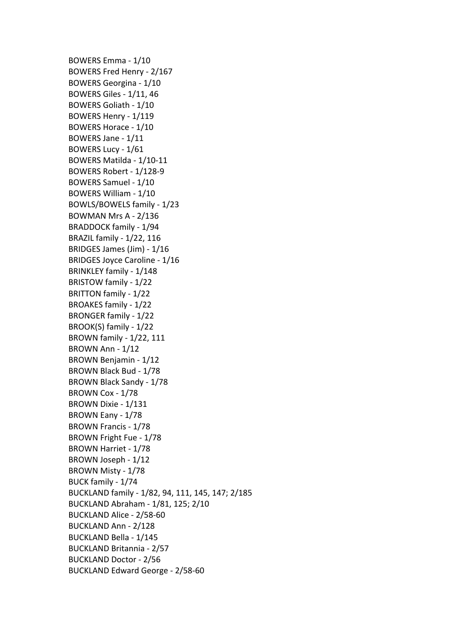BOWERS Emma - 1/10 BOWERS Fred Henry - 2/167 BOWERS Georgina - 1/10 **BOWERS Giles - 1/11, 46** BOWERS Goliath - 1/10 BOWERS Henry - 1/119 BOWERS Horace - 1/10 BOWERS Jane - 1/11 BOWERS Lucy - 1/61 BOWERS Matilda - 1/10-11 BOWERS Robert - 1/128-9 BOWERS Samuel - 1/10 BOWERS William - 1/10 BOWLS/BOWELS family - 1/23 BOWMAN Mrs A - 2/136 BRADDOCK family - 1/94 BRAZIL family - 1/22, 116 BRIDGES James (Jim) - 1/16 BRIDGES Joyce Caroline - 1/16 BRINKLEY family - 1/148 BRISTOW family - 1/22 BRITTON family - 1/22 BROAKES family - 1/22 BRONGER family - 1/22 BROOK(S) family - 1/22 BROWN family - 1/22, 111 BROWN Ann - 1/12 BROWN Benjamin - 1/12 BROWN Black Bud - 1/78 BROWN Black Sandy - 1/78 BROWN Cox - 1/78 BROWN Dixie - 1/131 BROWN Eany - 1/78 BROWN Francis - 1/78 BROWN Fright Fue - 1/78 BROWN Harriet - 1/78 BROWN Joseph - 1/12 BROWN Misty - 1/78 BUCK family - 1/74 BUCKLAND family - 1/82, 94, 111, 145, 147; 2/185 BUCKLAND Abraham - 1/81, 125; 2/10 BUCKLAND Alice - 2/58-60 BUCKLAND Ann - 2/128 BUCKLAND Bella - 1/145 BUCKLAND Britannia - 2/57 BUCKLAND Doctor - 2/56 BUCKLAND Edward George - 2/58-60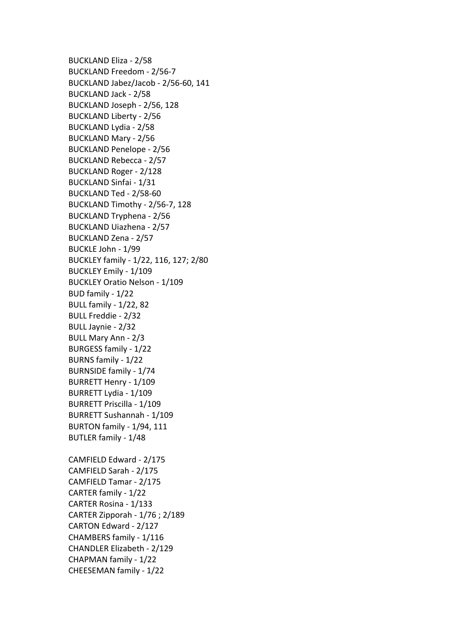BUCKLAND Eliza - 2/58 BUCKLAND Freedom - 2/56-7 BUCKLAND Jabez/Jacob - 2/56-60, 141 BUCKLAND Jack - 2/58 BUCKLAND Joseph - 2/56, 128 BUCKLAND Liberty - 2/56 BUCKLAND Lydia - 2/58 BUCKLAND Mary - 2/56 BUCKLAND Penelope - 2/56 BUCKLAND Rebecca - 2/57 BUCKLAND Roger - 2/128 BUCKLAND Sinfai - 1/31 BUCKLAND Ted - 2/58-60 BUCKLAND Timothy - 2/56-7, 128 BUCKLAND Tryphena - 2/56 BUCKLAND Uiazhena - 2/57 BUCKLAND Zena - 2/57 BUCKLE John - 1/99 BUCKLEY family - 1/22, 116, 127; 2/80 BUCKLEY Emily - 1/109 BUCKLEY Oratio Nelson - 1/109 BUD family - 1/22 **BULL family - 1/22, 82** BULL Freddie - 2/32 BULL Jaynie - 2/32 BULL Mary Ann - 2/3 BURGESS family - 1/22 BURNS family - 1/22 BURNSIDE family - 1/74 BURRETT Henry - 1/109 BURRETT Lydia - 1/109 BURRETT Priscilla - 1/109 BURRETT Sushannah - 1/109 **BURTON** family - 1/94, 111 BUTLER family - 1/48 CAMFIELD Edward - 2/175 CAMFIELD Sarah - 2/175 CAMFIELD Tamar - 2/175 CARTER family - 1/22 CARTER Rosina - 1/133 CARTER Zipporah -  $1/76$ ;  $2/189$ CARTON Edward - 2/127 CHAMBERS family - 1/116 CHANDLER Elizabeth - 2/129 CHAPMAN family - 1/22 CHEESEMAN family - 1/22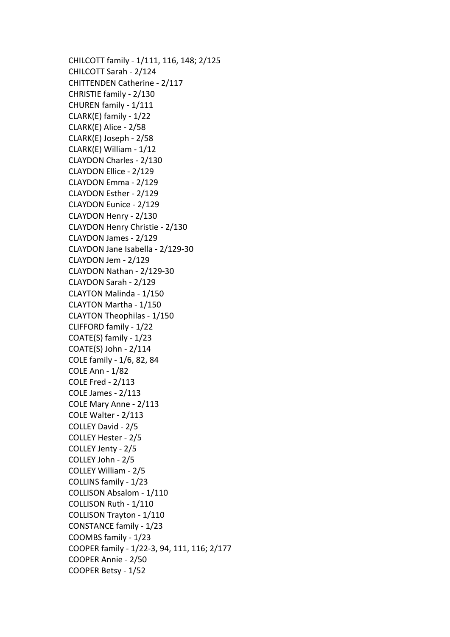CHILCOTT family - 1/111, 116, 148; 2/125 CHILCOTT Sarah - 2/124 CHITTENDEN Catherine - 2/117 CHRISTIE family - 2/130 CHUREN family - 1/111 CLARK(E) family -  $1/22$ CLARK(E) Alice - 2/58 CLARK(E) Joseph - 2/58 CLARK(E) William - 1/12 CLAYDON Charles - 2/130 CLAYDON Ellice - 2/129 CLAYDON Emma - 2/129 CLAYDON Esther - 2/129 CLAYDON Eunice - 2/129 CLAYDON Henry - 2/130 CLAYDON Henry Christie - 2/130 CLAYDON James - 2/129 CLAYDON Jane Isabella - 2/129-30 CLAYDON Jem - 2/129 CLAYDON Nathan - 2/129-30 CLAYDON Sarah - 2/129 CLAYTON Malinda - 1/150 CLAYTON Martha - 1/150 CLAYTON Theophilas - 1/150 CLIFFORD family - 1/22 COATE(S) family - 1/23  $COATE(S)$  John -  $2/114$ COLE family - 1/6, 82, 84 COLE Ann - 1/82 COLE Fred - 2/113 COLE James - 2/113 COLE Mary Anne - 2/113 COLE Walter - 2/113 COLLEY David - 2/5 COLLEY Hester - 2/5 COLLEY Jenty - 2/5 COLLEY John - 2/5 COLLEY William - 2/5 COLLINS family - 1/23 COLLISON Absalom - 1/110 COLLISON Ruth - 1/110 COLLISON Trayton - 1/110 CONSTANCE family - 1/23 COOMBS family - 1/23 COOPER family - 1/22-3, 94, 111, 116; 2/177 COOPER Annie - 2/50 COOPER Betsy - 1/52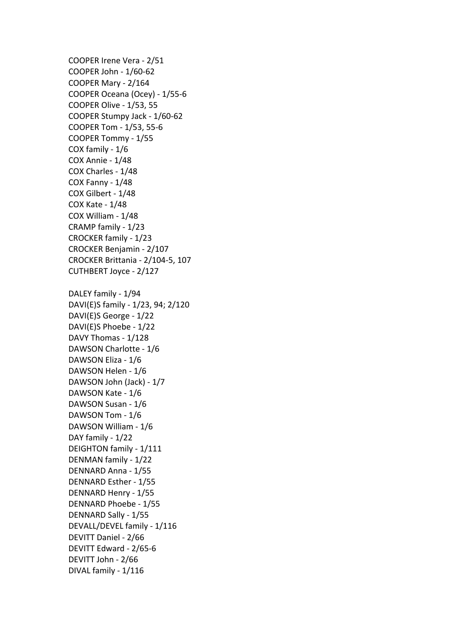COOPER Irene Vera - 2/51 COOPER John - 1/60-62 COOPER Mary - 2/164 COOPER Oceana (Ocey) - 1/55-6 COOPER Olive - 1/53, 55 COOPER Stumpy Jack - 1/60-62 COOPER Tom - 1/53, 55-6 COOPER Tommy - 1/55 COX family - 1/6 COX Annie - 1/48 COX Charles - 1/48 COX Fanny - 1/48 COX Gilbert - 1/48 COX Kate - 1/48 COX William - 1/48 CRAMP family - 1/23 CROCKER family - 1/23 CROCKER Benjamin - 2/107 CROCKER Brittania - 2/104-5, 107 CUTHBERT Joyce - 2/127 DALEY family - 1/94 DAVI(E)S family - 1/23, 94; 2/120 DAVI(E)S George - 1/22 DAVI(E)S Phoebe - 1/22 DAVY Thomas - 1/128 DAWSON Charlotte - 1/6 DAWSON Eliza - 1/6 DAWSON Helen - 1/6 DAWSON John (Jack) - 1/7 DAWSON Kate - 1/6 DAWSON Susan - 1/6 DAWSON Tom - 1/6 DAWSON William - 1/6 DAY family - 1/22 DEIGHTON family - 1/111 DENMAN family - 1/22 DENNARD Anna - 1/55 DENNARD Esther - 1/55 DENNARD Henry - 1/55 DENNARD Phoebe - 1/55 DENNARD Sally - 1/55 DEVALL/DEVEL family - 1/116 DEVITT Daniel - 2/66 DEVITT Edward - 2/65-6 DEVITT John - 2/66 DIVAL family - 1/116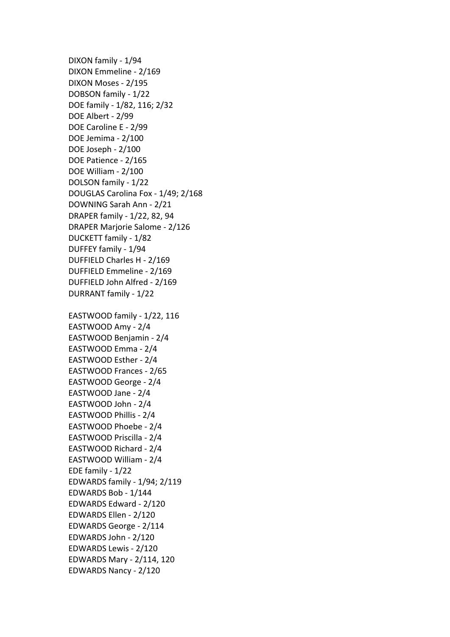DIXON family - 1/94 DIXON Emmeline - 2/169 DIXON Moses - 2/195 DOBSON family - 1/22 DOE family - 1/82, 116; 2/32 DOE Albert - 2/99 DOE Caroline E - 2/99 DOE Jemima - 2/100 DOE Joseph - 2/100 DOE Patience - 2/165 DOE William - 2/100 DOLSON family - 1/22 DOUGLAS Carolina Fox - 1/49; 2/168 DOWNING Sarah Ann - 2/21 DRAPER family - 1/22, 82, 94 DRAPER Marjorie Salome - 2/126 DUCKETT family - 1/82 DUFFEY family - 1/94 DUFFIELD Charles H - 2/169 DUFFIELD Emmeline - 2/169 DUFFIELD John Alfred - 2/169 DURRANT family - 1/22 EASTWOOD family -  $1/22$ , 116 EASTWOOD Amy - 2/4 EASTWOOD Benjamin - 2/4 EASTWOOD Emma - 2/4 EASTWOOD Esther - 2/4 EASTWOOD Frances - 2/65 EASTWOOD George - 2/4 EASTWOOD Jane - 2/4 EASTWOOD John - 2/4 EASTWOOD Phillis - 2/4 EASTWOOD Phoebe - 2/4 EASTWOOD Priscilla - 2/4 EASTWOOD Richard - 2/4 EASTWOOD William - 2/4 EDE family - 1/22 EDWARDS family - 1/94; 2/119 EDWARDS Bob - 1/144 EDWARDS Edward - 2/120 EDWARDS Ellen - 2/120 EDWARDS George - 2/114 EDWARDS John - 2/120 EDWARDS Lewis - 2/120 EDWARDS Mary - 2/114, 120 EDWARDS Nancy - 2/120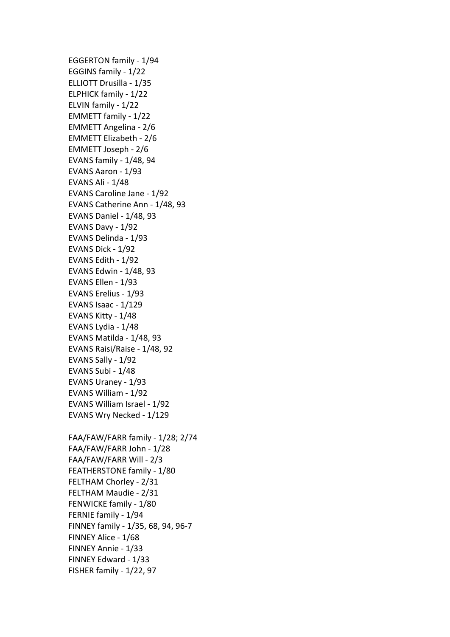EGGERTON family - 1/94 EGGINS family - 1/22 ELLIOTT Drusilla - 1/35 ELPHICK family - 1/22 ELVIN family - 1/22 EMMETT family - 1/22 EMMETT Angelina - 2/6 EMMETT Elizabeth - 2/6 EMMETT Joseph - 2/6 EVANS family - 1/48, 94 EVANS Aaron - 1/93 EVANS Ali - 1/48 EVANS Caroline Jane - 1/92 EVANS Catherine Ann - 1/48, 93 EVANS Daniel - 1/48, 93 EVANS Davy - 1/92 EVANS Delinda - 1/93 EVANS Dick - 1/92 EVANS Edith - 1/92 EVANS Edwin - 1/48, 93 EVANS Ellen - 1/93 EVANS Erelius - 1/93 EVANS Isaac - 1/129 EVANS Kitty - 1/48 EVANS Lydia - 1/48 EVANS Matilda - 1/48, 93 EVANS Raisi/Raise - 1/48, 92 EVANS Sally - 1/92 EVANS Subi - 1/48 EVANS Uraney - 1/93 EVANS William - 1/92 EVANS William Israel - 1/92 EVANS Wry Necked - 1/129 FAA/FAW/FARR family - 1/28; 2/74 FAA/FAW/FARR John - 1/28 FAA/FAW/FARR Will - 2/3 FEATHERSTONE family - 1/80 FELTHAM Chorley - 2/31 FELTHAM Maudie - 2/31 FENWICKE family - 1/80 FERNIE family - 1/94 FINNEY family - 1/35, 68, 94, 96-7 FINNEY Alice - 1/68 FINNEY Annie - 1/33 FINNEY Edward - 1/33 FISHER family - 1/22, 97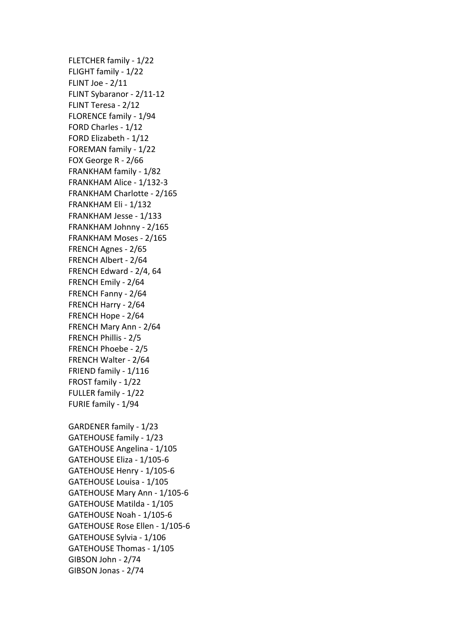FLETCHER family - 1/22 FLIGHT family - 1/22 FLINT Joe -  $2/11$ FLINT Sybaranor - 2/11-12 FLINT Teresa - 2/12 FLORENCE family - 1/94 FORD Charles - 1/12 FORD Elizabeth - 1/12 FOREMAN family - 1/22 FOX George R - 2/66 FRANKHAM family - 1/82 FRANKHAM Alice - 1/132-3 FRANKHAM Charlotte - 2/165 FRANKHAM Eli - 1/132 FRANKHAM Jesse - 1/133 FRANKHAM Johnny - 2/165 FRANKHAM Moses - 2/165 FRENCH Agnes - 2/65 FRENCH Albert - 2/64 FRENCH Edward - 2/4, 64 FRENCH Emily - 2/64 FRENCH Fanny - 2/64 FRENCH Harry - 2/64 FRENCH Hope - 2/64 FRENCH Mary Ann - 2/64 FRENCH Phillis - 2/5 FRENCH Phoebe - 2/5 FRENCH Walter - 2/64 FRIEND family - 1/116 FROST family - 1/22 FULLER family - 1/22 FURIE family - 1/94 GARDENER family - 1/23 GATEHOUSE family - 1/23 GATEHOUSE Angelina - 1/105 GATEHOUSE Eliza - 1/105-6 GATEHOUSE Henry - 1/105-6 GATEHOUSE Louisa - 1/105 GATEHOUSE Mary Ann - 1/105-6 GATEHOUSE Matilda - 1/105 GATEHOUSE Noah - 1/105-6 GATEHOUSE Rose Ellen - 1/105-6 GATEHOUSE Sylvia - 1/106 GATEHOUSE Thomas - 1/105 GIBSON John - 2/74 GIBSON Jonas - 2/74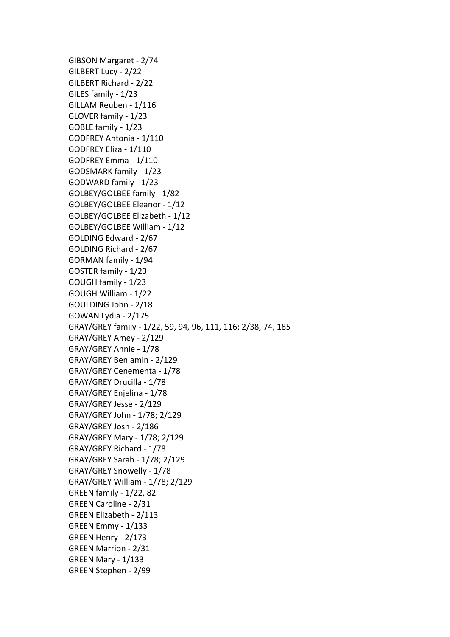GIBSON Margaret - 2/74 GILBERT Lucy - 2/22 GILBERT Richard - 2/22 GILES family - 1/23 GILLAM Reuben - 1/116 GLOVER family - 1/23 GOBLE family - 1/23 GODFREY Antonia - 1/110 GODFREY Eliza - 1/110 GODFREY Emma - 1/110 GODSMARK family - 1/23 GODWARD family - 1/23 GOLBEY/GOLBEE family - 1/82 GOLBEY/GOLBEE Eleanor - 1/12 GOLBEY/GOLBEE Elizabeth - 1/12 GOLBEY/GOLBEE William - 1/12 GOLDING Edward - 2/67 GOLDING Richard - 2/67 GORMAN family - 1/94 GOSTER family - 1/23 GOUGH family - 1/23 GOUGH William - 1/22 GOULDING John - 2/18 GOWAN Lydia - 2/175 GRAY/GREY family - 1/22, 59, 94, 96, 111, 116; 2/38, 74, 185 GRAY/GREY Amey - 2/129 GRAY/GREY Annie - 1/78 GRAY/GREY Benjamin - 2/129 GRAY/GREY Cenementa - 1/78 GRAY/GREY Drucilla - 1/78 GRAY/GREY Enjelina - 1/78 GRAY/GREY Jesse - 2/129 GRAY/GREY John - 1/78; 2/129 GRAY/GREY Josh - 2/186 GRAY/GREY Mary - 1/78; 2/129 GRAY/GREY Richard - 1/78 GRAY/GREY Sarah - 1/78; 2/129 GRAY/GREY Snowelly - 1/78 GRAY/GREY William - 1/78; 2/129 GREEN family - 1/22, 82 GREEN Caroline - 2/31 GREEN Elizabeth - 2/113 GREEN Emmy - 1/133 GREEN Henry - 2/173 GREEN Marrion - 2/31 GREEN Mary - 1/133 GREEN Stephen - 2/99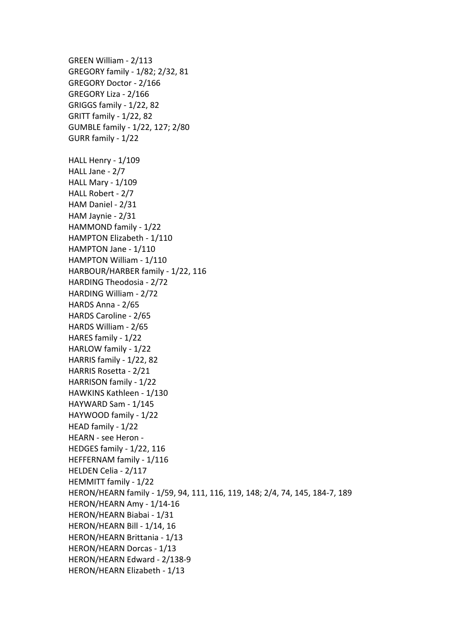GREEN William - 2/113 GREGORY family - 1/82; 2/32, 81 GREGORY Doctor - 2/166 GREGORY Liza - 2/166 GRIGGS family - 1/22, 82 GRITT family - 1/22, 82 GUMBLE family - 1/22, 127; 2/80 GURR family - 1/22 HALL Henry - 1/109 HALL Jane - 2/7 HALL Mary - 1/109 HALL Robert - 2/7 HAM Daniel - 2/31 HAM Jaynie - 2/31 HAMMOND family - 1/22 HAMPTON Elizabeth - 1/110 HAMPTON Jane - 1/110 HAMPTON William - 1/110 HARBOUR/HARBER family - 1/22, 116 HARDING Theodosia - 2/72 HARDING William - 2/72 HARDS Anna - 2/65 HARDS Caroline - 2/65 HARDS William - 2/65 HARES family - 1/22 HARLOW family - 1/22 HARRIS family - 1/22, 82 HARRIS Rosetta - 2/21 HARRISON family - 1/22 HAWKINS Kathleen - 1/130 HAYWARD Sam - 1/145 HAYWOOD family - 1/22 HEAD family - 1/22 HEARN - see Heron -HEDGES family - 1/22, 116 HEFFERNAM family - 1/116 HELDEN Celia - 2/117 HEMMITT family - 1/22 HERON/HEARN family - 1/59, 94, 111, 116, 119, 148; 2/4, 74, 145, 184-7, 189 HERON/HEARN Amy - 1/14-16 HERON/HEARN Biabai - 1/31 HERON/HEARN Bill - 1/14, 16 HERON/HEARN Brittania - 1/13 HERON/HEARN Dorcas - 1/13 HERON/HEARN Edward - 2/138-9 HERON/HEARN Elizabeth - 1/13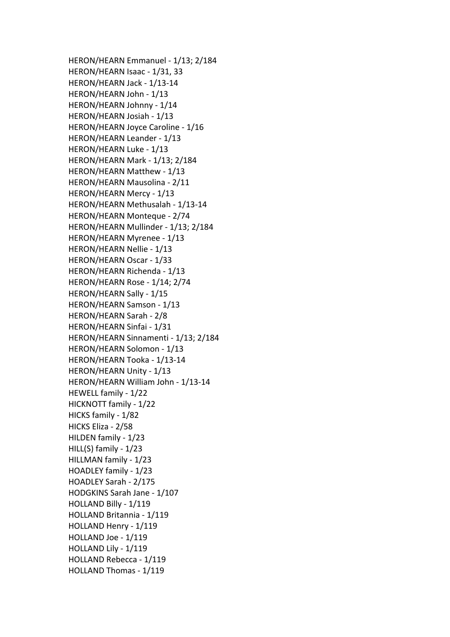HERON/HEARN Emmanuel - 1/13; 2/184 HERON/HEARN Isaac - 1/31, 33 HERON/HEARN Jack - 1/13-14 HERON/HEARN John - 1/13 HERON/HEARN Johnny - 1/14 HERON/HEARN Josiah - 1/13 HERON/HEARN Joyce Caroline - 1/16 HERON/HEARN Leander - 1/13 HERON/HEARN Luke - 1/13 HERON/HEARN Mark - 1/13; 2/184 HERON/HEARN Matthew - 1/13 HERON/HEARN Mausolina - 2/11 HERON/HEARN Mercy - 1/13 HERON/HEARN Methusalah - 1/13-14 HERON/HEARN Monteque - 2/74 HERON/HEARN Mullinder - 1/13; 2/184 HERON/HEARN Myrenee - 1/13 HERON/HEARN Nellie - 1/13 HERON/HEARN Oscar - 1/33 HERON/HEARN Richenda - 1/13 HERON/HEARN Rose - 1/14; 2/74 HERON/HEARN Sally - 1/15 HERON/HEARN Samson - 1/13 HERON/HEARN Sarah - 2/8 HERON/HEARN Sinfai - 1/31 HERON/HEARN Sinnamenti - 1/13; 2/184 HERON/HEARN Solomon - 1/13 HERON/HEARN Tooka - 1/13-14 HERON/HEARN Unity - 1/13 HERON/HEARN William John - 1/13-14 HEWELL family - 1/22 HICKNOTT family - 1/22 HICKS family - 1/82 HICKS Eliza - 2/58 HILDEN family - 1/23 HILL $(S)$  family -  $1/23$ HILLMAN family - 1/23 HOADLEY family - 1/23 HOADLEY Sarah - 2/175 HODGKINS Sarah Jane - 1/107 HOLLAND Billy - 1/119 HOLLAND Britannia - 1/119 HOLLAND Henry - 1/119 HOLLAND Joe - 1/119 HOLLAND Lily - 1/119 HOLLAND Rebecca - 1/119 HOLLAND Thomas - 1/119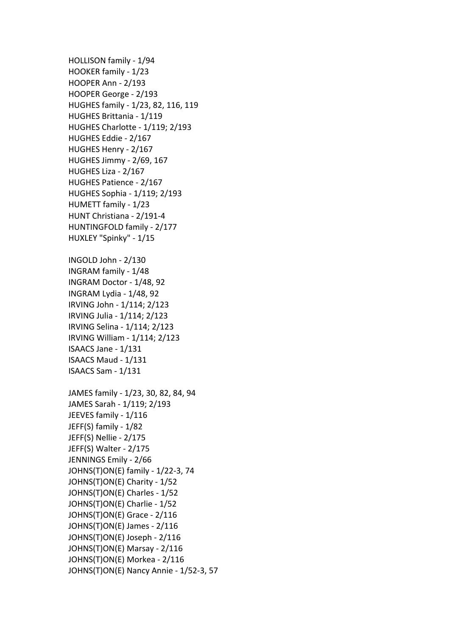HOLLISON family - 1/94 HOOKER family - 1/23 HOOPER Ann - 2/193 HOOPER George - 2/193 HUGHES family - 1/23, 82, 116, 119 HUGHES Brittania - 1/119 HUGHES Charlotte - 1/119; 2/193 HUGHES Eddie - 2/167 HUGHES Henry - 2/167 HUGHES Jimmy - 2/69, 167 HUGHES Liza - 2/167 HUGHES Patience - 2/167 HUGHES Sophia - 1/119; 2/193 HUMETT family - 1/23 HUNT Christiana - 2/191-4 HUNTINGFOLD family - 2/177 HUXLEY "Spinky" - 1/15 INGOLD John - 2/130 INGRAM family - 1/48 INGRAM Doctor - 1/48, 92 INGRAM Lydia - 1/48, 92 IRVING John - 1/114; 2/123 IRVING Julia - 1/114; 2/123 IRVING Selina - 1/114; 2/123 IRVING William - 1/114; 2/123 ISAACS Jane - 1/131 ISAACS Maud - 1/131 ISAACS Sam - 1/131 JAMES family - 1/23, 30, 82, 84, 94 JAMES Sarah - 1/119; 2/193 JEEVES family - 1/116 JEFF(S) family - 1/82 JEFF(S) Nellie - 2/175 JEFF(S) Walter - 2/175 JENNINGS Emily - 2/66 JOHNS(T)ON(E) family - 1/22-3, 74 JOHNS(T)ON(E) Charity - 1/52 JOHNS(T)ON(E) Charles - 1/52 JOHNS(T)ON(E) Charlie - 1/52 JOHNS(T)ON(E) Grace -  $2/116$ JOHNS(T)ON(E) James -  $2/116$ JOHNS(T)ON(E) Joseph - 2/116 JOHNS(T)ON(E) Marsay - 2/116 JOHNS(T)ON(E) Morkea - 2/116 JOHNS(T)ON(E) Nancy Annie - 1/52-3, 57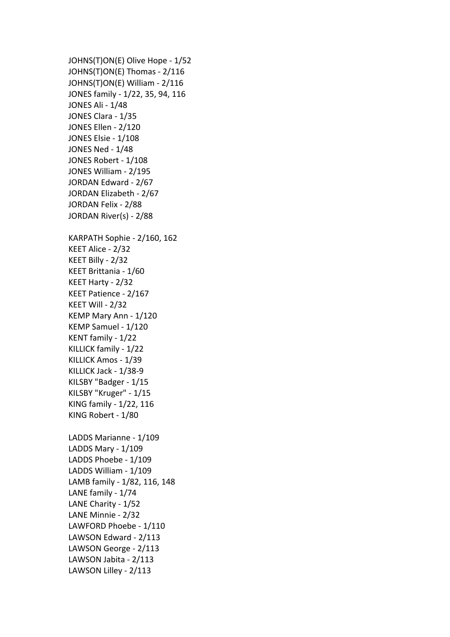JOHNS(T)ON(E) Olive Hope - 1/52 JOHNS(T)ON(E) Thomas - 2/116 JOHNS(T)ON(E) William - 2/116 JONES family - 1/22, 35, 94, 116 JONES Ali - 1/48 JONES Clara - 1/35 JONES Ellen - 2/120 JONES Elsie - 1/108 JONES Ned - 1/48 JONES Robert - 1/108 JONES William - 2/195 JORDAN Edward - 2/67 JORDAN Elizabeth - 2/67 JORDAN Felix - 2/88 JORDAN River(s) - 2/88 KARPATH Sophie - 2/160, 162 KEET Alice - 2/32 KEET Billy - 2/32 KEET Brittania - 1/60 KEET Harty - 2/32 KEET Patience - 2/167 KEET Will - 2/32 KEMP Mary Ann - 1/120 KEMP Samuel - 1/120 KENT family - 1/22 KILLICK family - 1/22 KILLICK Amos - 1/39 KILLICK Jack - 1/38-9 KILSBY "Badger - 1/15 KILSBY "Kruger" - 1/15 KING family - 1/22, 116 KING Robert - 1/80 LADDS Marianne - 1/109 LADDS Mary - 1/109 LADDS Phoebe - 1/109 LADDS William - 1/109 LAMB family - 1/82, 116, 148 LANE family - 1/74 LANE Charity - 1/52 LANE Minnie - 2/32 LAWFORD Phoebe - 1/110 LAWSON Edward - 2/113 LAWSON George - 2/113 LAWSON Jabita - 2/113 LAWSON Lilley - 2/113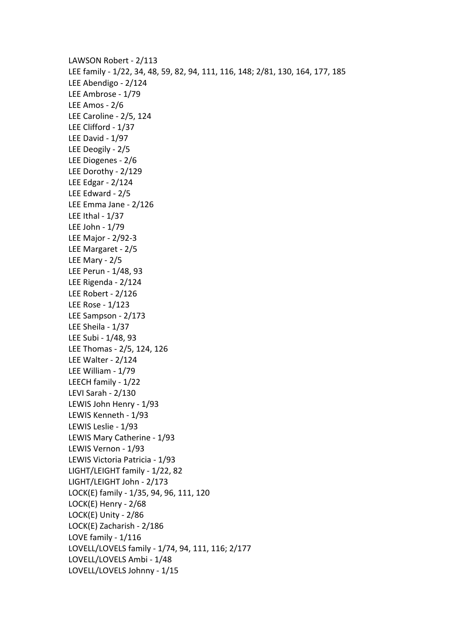LAWSON Robert - 2/113 LEE family - 1/22, 34, 48, 59, 82, 94, 111, 116, 148; 2/81, 130, 164, 177, 185 LEE Abendigo - 2/124 LEE Ambrose - 1/79 LEE Amos - 2/6 LEE Caroline - 2/5, 124 LEE Clifford - 1/37 LEE David - 1/97 LEE Deogily - 2/5 LEE Diogenes - 2/6 LEE Dorothy - 2/129 LEE Edgar - 2/124 LEE Edward - 2/5 LEE Emma Jane - 2/126 LEE Ithal -  $1/37$ LEE John - 1/79 LEE Major - 2/92-3 LEE Margaret - 2/5 LEE Mary - 2/5 LEE Perun - 1/48, 93 LEE Rigenda - 2/124 LEE Robert - 2/126 LEE Rose - 1/123 LEE Sampson - 2/173 LEE Sheila - 1/37 LEE Subi - 1/48, 93 LEE Thomas - 2/5, 124, 126 LEE Walter - 2/124 LEE William - 1/79 LEECH family - 1/22 LEVI Sarah - 2/130 LEWIS John Henry - 1/93 LEWIS Kenneth - 1/93 LEWIS Leslie - 1/93 LEWIS Mary Catherine - 1/93 LEWIS Vernon - 1/93 LEWIS Victoria Patricia - 1/93 LIGHT/LEIGHT family - 1/22, 82 LIGHT/LEIGHT John - 2/173 LOCK(E) family - 1/35, 94, 96, 111, 120 LOCK $(E)$  Henry - 2/68 LOCK $(E)$  Unity - 2/86 LOCK(E) Zacharish - 2/186 LOVE family - 1/116 LOVELL/LOVELS family - 1/74, 94, 111, 116; 2/177 LOVELL/LOVELS Ambi - 1/48 LOVELL/LOVELS Johnny - 1/15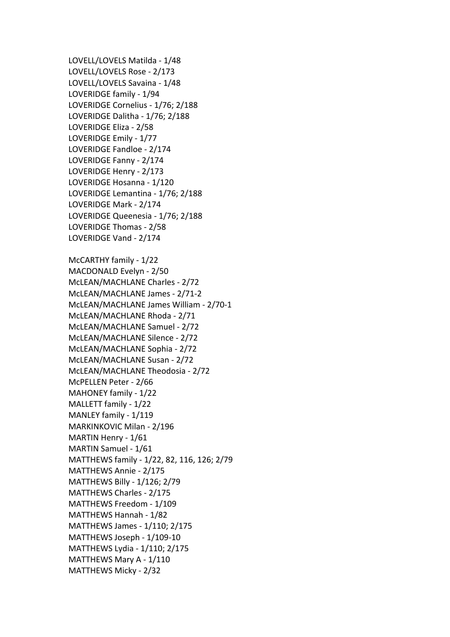LOVELL/LOVELS Matilda - 1/48 LOVELL/LOVELS Rose - 2/173 LOVELL/LOVELS Savaina - 1/48 LOVERIDGE family - 1/94 LOVERIDGE Cornelius - 1/76; 2/188 LOVERIDGE Dalitha - 1/76; 2/188 LOVERIDGE Eliza - 2/58 LOVERIDGE Emily - 1/77 LOVERIDGE Fandloe - 2/174 LOVERIDGE Fanny - 2/174 LOVERIDGE Henry - 2/173 LOVERIDGE Hosanna - 1/120 LOVERIDGE Lemantina - 1/76; 2/188 LOVERIDGE Mark - 2/174 LOVERIDGE Queenesia - 1/76; 2/188 LOVERIDGE Thomas - 2/58 LOVERIDGE Vand - 2/174 McCARTHY family - 1/22 MACDONALD Evelyn - 2/50 McLEAN/MACHLANE Charles - 2/72 McLEAN/MACHLANE James - 2/71-2 McLEAN/MACHLANE James William - 2/70-1 McLEAN/MACHLANE Rhoda - 2/71 McLEAN/MACHLANE Samuel - 2/72 McLEAN/MACHLANE Silence - 2/72 McLEAN/MACHLANE Sophia - 2/72 McLEAN/MACHLANE Susan - 2/72 McLEAN/MACHLANE Theodosia - 2/72 McPELLEN Peter - 2/66 MAHONEY family - 1/22 MALLETT family - 1/22 MANLEY family - 1/119 MARKINKOVIC Milan - 2/196 MARTIN Henry - 1/61 MARTIN Samuel - 1/61 MATTHEWS family - 1/22, 82, 116, 126; 2/79 MATTHEWS Annie - 2/175 MATTHEWS Billy - 1/126; 2/79 MATTHEWS Charles - 2/175 MATTHEWS Freedom - 1/109 MATTHEWS Hannah - 1/82 MATTHEWS James - 1/110; 2/175 MATTHEWS Joseph - 1/109-10 MATTHEWS Lydia - 1/110; 2/175 MATTHEWS Mary A - 1/110 MATTHEWS Micky - 2/32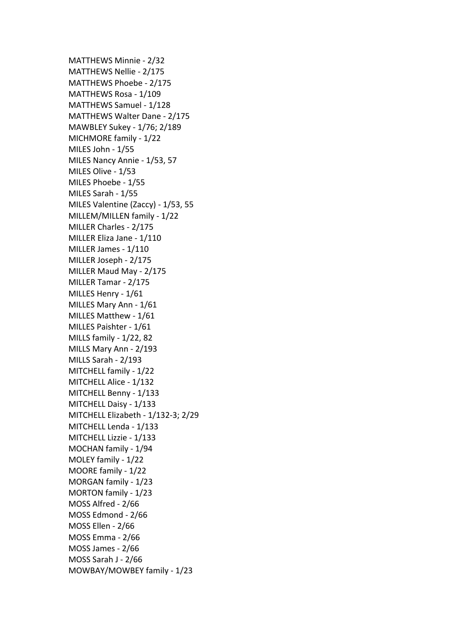MATTHEWS Minnie - 2/32 MATTHEWS Nellie - 2/175 MATTHEWS Phoebe - 2/175 MATTHEWS Rosa - 1/109 MATTHEWS Samuel - 1/128 MATTHEWS Walter Dane - 2/175 MAWBLEY Sukey - 1/76; 2/189 MICHMORE family - 1/22 MILES John - 1/55 MILES Nancy Annie - 1/53, 57 MILES Olive - 1/53 MILES Phoebe - 1/55 MILES Sarah - 1/55 MILES Valentine (Zaccy) - 1/53, 55 MILLEM/MILLEN family - 1/22 MILLER Charles - 2/175 MILLER Eliza Jane - 1/110 MILLER James - 1/110 MILLER Joseph - 2/175 MILLER Maud May - 2/175 MILLER Tamar - 2/175 MILLES Henry - 1/61 MILLES Mary Ann - 1/61 MILLES Matthew - 1/61 MILLES Paishter - 1/61 MILLS family - 1/22, 82 MILLS Mary Ann - 2/193 MILLS Sarah - 2/193 MITCHELL family - 1/22 MITCHELL Alice - 1/132 MITCHELL Benny - 1/133 MITCHELL Daisy - 1/133 MITCHELL Elizabeth - 1/132-3; 2/29 MITCHELL Lenda - 1/133 MITCHELL Lizzie - 1/133 MOCHAN family - 1/94 MOLEY family - 1/22 MOORE family - 1/22 MORGAN family - 1/23 MORTON family - 1/23 MOSS Alfred - 2/66 MOSS Edmond - 2/66 MOSS Ellen - 2/66 MOSS Emma - 2/66 MOSS James - 2/66 MOSS Sarah J - 2/66 MOWBAY/MOWBEY family - 1/23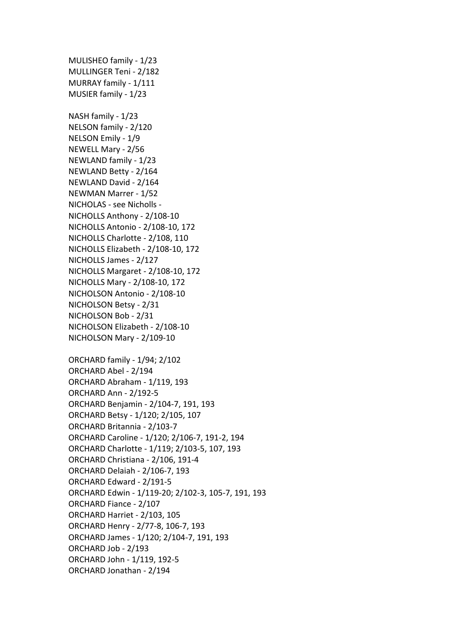MULISHEO family - 1/23 MULLINGER Teni - 2/182 MURRAY family - 1/111 MUSIER family - 1/23 NASH family - 1/23 NELSON family - 2/120 NELSON Emily - 1/9 NEWELL Mary - 2/56 NEWLAND family - 1/23 NEWLAND Betty - 2/164 NEWLAND David - 2/164 NEWMAN Marrer - 1/52 NICHOLAS - see Nicholls -NICHOLLS Anthony - 2/108-10 NICHOLLS Antonio - 2/108-10, 172 NICHOLLS Charlotte - 2/108, 110 NICHOLLS Elizabeth - 2/108-10, 172 NICHOLLS James - 2/127 NICHOLLS Margaret - 2/108-10, 172 NICHOLLS Mary - 2/108-10, 172 NICHOLSON Antonio - 2/108-10 NICHOLSON Betsy - 2/31 NICHOLSON Bob - 2/31 NICHOLSON Elizabeth - 2/108-10 NICHOLSON Mary - 2/109-10 ORCHARD family - 1/94; 2/102 ORCHARD Abel - 2/194 ORCHARD Abraham - 1/119, 193 ORCHARD Ann - 2/192-5 ORCHARD Benjamin - 2/104-7, 191, 193 ORCHARD Betsy - 1/120; 2/105, 107 ORCHARD Britannia - 2/103-7 ORCHARD Caroline - 1/120; 2/106-7, 191-2, 194 ORCHARD Charlotte - 1/119; 2/103-5, 107, 193 ORCHARD Christiana - 2/106, 191-4 ORCHARD Delaiah - 2/106-7, 193 ORCHARD Edward - 2/191-5 ORCHARD Edwin - 1/119-20; 2/102-3, 105-7, 191, 193 ORCHARD Fiance - 2/107 **ORCHARD Harriet - 2/103, 105** ORCHARD Henry - 2/77-8, 106-7, 193 ORCHARD James - 1/120; 2/104-7, 191, 193 ORCHARD Job - 2/193 ORCHARD John - 1/119, 192-5 ORCHARD Jonathan - 2/194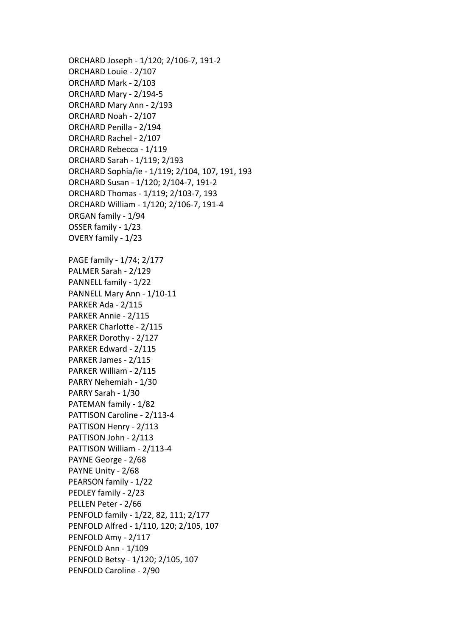ORCHARD Joseph - 1/120; 2/106-7, 191-2 ORCHARD Louie - 2/107 ORCHARD Mark - 2/103 ORCHARD Mary - 2/194-5 ORCHARD Mary Ann - 2/193 ORCHARD Noah - 2/107 ORCHARD Penilla - 2/194 ORCHARD Rachel - 2/107 ORCHARD Rebecca - 1/119 ORCHARD Sarah - 1/119; 2/193 ORCHARD Sophia/ie - 1/119; 2/104, 107, 191, 193 ORCHARD Susan - 1/120; 2/104-7, 191-2 ORCHARD Thomas - 1/119; 2/103-7, 193 ORCHARD William - 1/120; 2/106-7, 191-4 ORGAN family - 1/94 OSSER family - 1/23 OVERY family - 1/23 PAGE family - 1/74; 2/177 PALMER Sarah - 2/129 PANNELL family - 1/22 PANNELL Mary Ann - 1/10-11 PARKER Ada - 2/115 PARKER Annie - 2/115 PARKER Charlotte - 2/115 PARKER Dorothy - 2/127 PARKER Edward - 2/115 PARKER James - 2/115 PARKER William - 2/115 PARRY Nehemiah - 1/30 PARRY Sarah - 1/30 PATEMAN family - 1/82 PATTISON Caroline - 2/113-4 PATTISON Henry - 2/113 PATTISON John - 2/113 PATTISON William - 2/113-4 PAYNE George - 2/68 PAYNE Unity - 2/68 PEARSON family - 1/22 PEDLEY family - 2/23 PELLEN Peter - 2/66 PENFOLD family - 1/22, 82, 111; 2/177 PENFOLD Alfred - 1/110, 120; 2/105, 107 PENFOLD Amy - 2/117 PENFOLD Ann - 1/109 PENFOLD Betsy - 1/120; 2/105, 107 PENFOLD Caroline - 2/90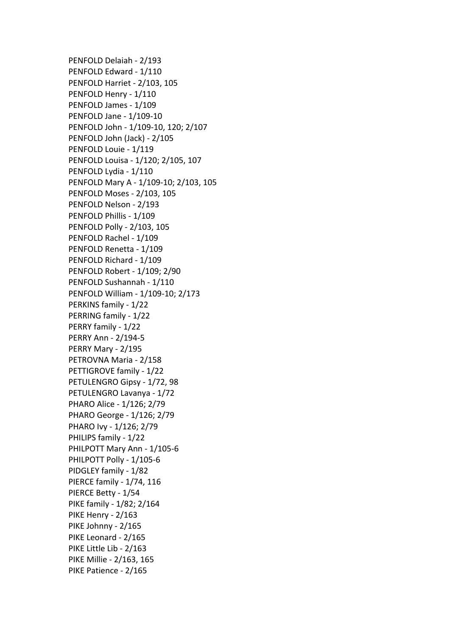PENFOLD Delaiah - 2/193 PENFOLD Edward - 1/110 PENFOLD Harriet - 2/103, 105 PENFOLD Henry - 1/110 PENFOLD James - 1/109 PENFOLD Jane - 1/109-10 PENFOLD John - 1/109-10, 120; 2/107 PENFOLD John (Jack) - 2/105 PENFOLD Louie - 1/119 PENFOLD Louisa - 1/120; 2/105, 107 PENFOLD Lydia - 1/110 PENFOLD Mary A - 1/109-10; 2/103, 105 PENFOLD Moses - 2/103, 105 PENFOLD Nelson - 2/193 PENFOLD Phillis - 1/109 PENFOLD Polly - 2/103, 105 PENFOLD Rachel - 1/109 PENFOLD Renetta - 1/109 PENFOLD Richard - 1/109 PENFOLD Robert - 1/109; 2/90 PENFOLD Sushannah - 1/110 PENFOLD William - 1/109-10; 2/173 PERKINS family - 1/22 PERRING family - 1/22 PERRY family - 1/22 PERRY Ann - 2/194-5 PERRY Mary - 2/195 PETROVNA Maria - 2/158 PETTIGROVE family - 1/22 PETULENGRO Gipsy - 1/72, 98 PETULENGRO Lavanya - 1/72 PHARO Alice - 1/126; 2/79 PHARO George - 1/126; 2/79 PHARO Ivy - 1/126; 2/79 PHILIPS family - 1/22 PHILPOTT Mary Ann - 1/105-6 PHILPOTT Polly - 1/105-6 PIDGLEY family - 1/82 PIERCE family - 1/74, 116 PIERCE Betty - 1/54 PIKE family - 1/82; 2/164 PIKE Henry -  $2/163$ PIKE Johnny - 2/165 PIKE Leonard - 2/165 PIKE Little Lib - 2/163 PIKE Millie - 2/163, 165 PIKE Patience - 2/165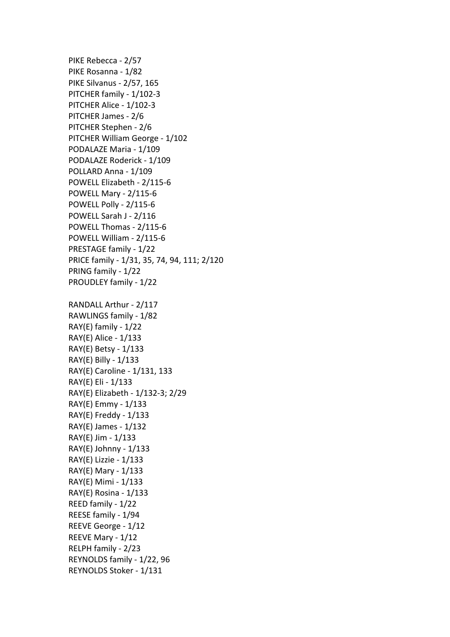PIKE Rebecca - 2/57 PIKE Rosanna - 1/82 PIKE Silvanus - 2/57, 165 PITCHER family - 1/102-3 PITCHER Alice - 1/102-3 PITCHER James - 2/6 PITCHER Stephen - 2/6 PITCHER William George - 1/102 PODALAZE Maria - 1/109 PODALAZE Roderick - 1/109 POLLARD Anna - 1/109 POWELL Elizabeth - 2/115-6 POWELL Mary - 2/115-6 POWELL Polly - 2/115-6 POWELL Sarah J - 2/116 POWELL Thomas - 2/115-6 POWELL William - 2/115-6 PRESTAGE family - 1/22 PRICE family - 1/31, 35, 74, 94, 111; 2/120 PRING family - 1/22 PROUDLEY family - 1/22 RANDALL Arthur - 2/117 RAWLINGS family - 1/82 RAY(E) family -  $1/22$ RAY(E) Alice - 1/133 RAY(E) Betsy - 1/133 RAY(E) Billy - 1/133 RAY(E) Caroline - 1/131, 133 RAY(E) Eli - 1/133 RAY(E) Elizabeth - 1/132-3; 2/29 RAY(E) Emmy - 1/133  $RAY(E)$  Freddy -  $1/133$ RAY(E) James -  $1/132$ RAY(E) Jim - 1/133  $RAY(E)$  Johnny -  $1/133$ RAY(E) Lizzie - 1/133 RAY(E) Mary - 1/133 RAY(E) Mimi - 1/133 RAY(E) Rosina - 1/133 REED family - 1/22 REESE family - 1/94 REEVE George - 1/12 REEVE Mary - 1/12 RELPH family - 2/23 REYNOLDS family - 1/22, 96 REYNOLDS Stoker - 1/131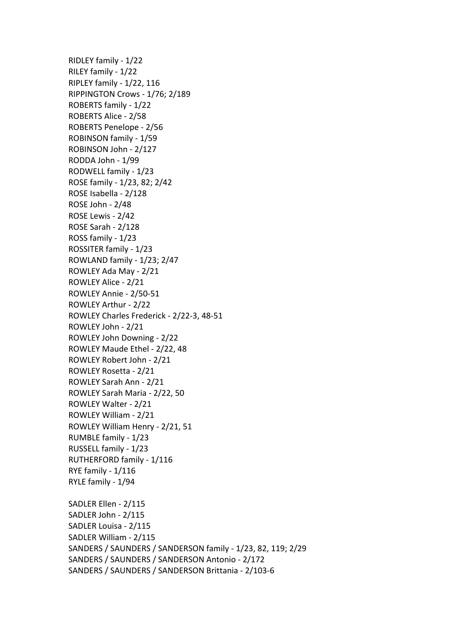RIDLEY family - 1/22 RILEY family - 1/22 RIPLEY family -  $1/22$ ,  $116$ RIPPINGTON Crows - 1/76; 2/189 ROBERTS family - 1/22 ROBERTS Alice - 2/58 ROBERTS Penelope - 2/56 ROBINSON family - 1/59 ROBINSON John - 2/127 RODDA John - 1/99 RODWELL family - 1/23 ROSE family - 1/23, 82; 2/42 ROSE Isabella - 2/128 ROSE John - 2/48 ROSE Lewis - 2/42 ROSE Sarah - 2/128 ROSS family - 1/23 ROSSITER family - 1/23 ROWLAND family - 1/23; 2/47 ROWLEY Ada May - 2/21 ROWLEY Alice - 2/21 ROWLEY Annie - 2/50-51 ROWLEY Arthur - 2/22 ROWLEY Charles Frederick - 2/22-3, 48-51 ROWLEY John - 2/21 ROWLEY John Downing - 2/22 ROWLEY Maude Ethel - 2/22, 48 ROWLEY Robert John - 2/21 ROWLEY Rosetta - 2/21 ROWLEY Sarah Ann - 2/21 ROWLEY Sarah Maria - 2/22, 50 ROWLEY Walter - 2/21 ROWLEY William - 2/21 ROWLEY William Henry - 2/21, 51 RUMBLE family - 1/23 RUSSELL family - 1/23 RUTHERFORD family - 1/116 RYE family  $- 1/116$ RYLE family - 1/94 SADLER Ellen - 2/115 SADLER John - 2/115 SADLER Louisa - 2/115 SADLER William - 2/115 SANDERS / SAUNDERS / SANDERSON family - 1/23, 82, 119; 2/29 SANDERS / SAUNDERS / SANDERSON Antonio - 2/172 SANDERS / SAUNDERS / SANDERSON Brittania - 2/103-6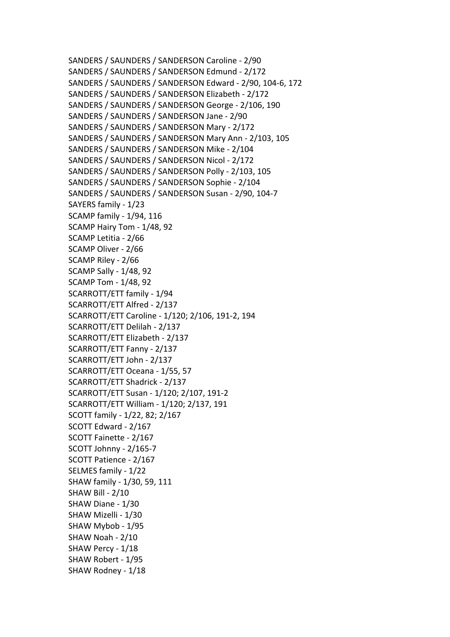SANDERS / SAUNDERS / SANDERSON Caroline - 2/90 SANDERS / SAUNDERS / SANDERSON Edmund - 2/172 SANDERS / SAUNDERS / SANDERSON Edward - 2/90, 104-6, 172 SANDERS / SAUNDERS / SANDERSON Elizabeth - 2/172 SANDERS / SAUNDERS / SANDERSON George - 2/106, 190 SANDERS / SAUNDERS / SANDERSON Jane - 2/90 SANDERS / SAUNDERS / SANDERSON Mary - 2/172 SANDERS / SAUNDERS / SANDERSON Mary Ann - 2/103, 105 SANDERS / SAUNDERS / SANDERSON Mike - 2/104 SANDERS / SAUNDERS / SANDERSON Nicol - 2/172 SANDERS / SAUNDERS / SANDERSON Polly - 2/103, 105 SANDERS / SAUNDERS / SANDERSON Sophie - 2/104 SANDERS / SAUNDERS / SANDERSON Susan - 2/90, 104-7 SAYERS family - 1/23 SCAMP family - 1/94, 116 SCAMP Hairy Tom - 1/48, 92 SCAMP Letitia - 2/66 SCAMP Oliver - 2/66 SCAMP Riley - 2/66 SCAMP Sally - 1/48, 92 SCAMP Tom - 1/48, 92 SCARROTT/ETT family - 1/94 SCARROTT/ETT Alfred - 2/137 SCARROTT/ETT Caroline - 1/120; 2/106, 191-2, 194 SCARROTT/ETT Delilah - 2/137 SCARROTT/ETT Elizabeth - 2/137 SCARROTT/ETT Fanny - 2/137 SCARROTT/ETT John - 2/137 SCARROTT/ETT Oceana - 1/55, 57 SCARROTT/ETT Shadrick - 2/137 SCARROTT/ETT Susan - 1/120; 2/107, 191-2 SCARROTT/ETT William - 1/120; 2/137, 191 SCOTT family - 1/22, 82; 2/167 SCOTT Edward - 2/167 SCOTT Fainette - 2/167 SCOTT Johnny - 2/165-7 SCOTT Patience - 2/167 SELMES family - 1/22 SHAW family - 1/30, 59, 111 **SHAW Bill - 2/10** SHAW Diane - 1/30 SHAW Mizelli - 1/30 SHAW Mybob - 1/95 SHAW Noah - 2/10 SHAW Percy - 1/18 SHAW Robert - 1/95 SHAW Rodney - 1/18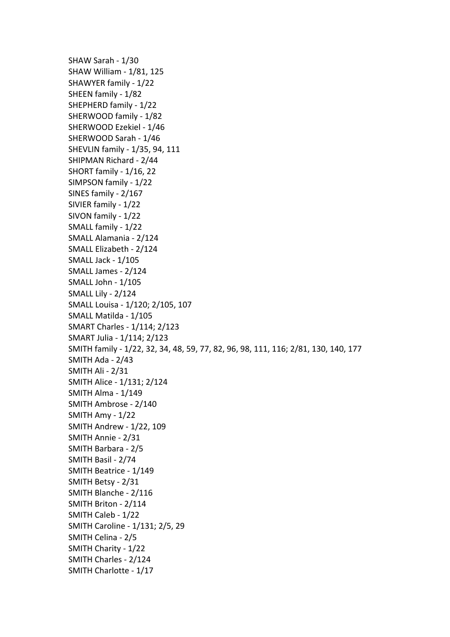SHAW Sarah - 1/30 SHAW William - 1/81, 125 SHAWYER family - 1/22 SHEEN family - 1/82 SHEPHERD family - 1/22 SHERWOOD family - 1/82 SHERWOOD Ezekiel - 1/46 SHERWOOD Sarah - 1/46 SHEVLIN family - 1/35, 94, 111 SHIPMAN Richard - 2/44 SHORT family - 1/16, 22 SIMPSON family - 1/22 SINES family - 2/167 SIVIER family - 1/22 SIVON family - 1/22 SMALL family - 1/22 SMALL Alamania - 2/124 SMALL Elizabeth - 2/124 SMALL Jack - 1/105 SMALL James - 2/124 SMALL John - 1/105 SMALL Lily - 2/124 SMALL Louisa - 1/120; 2/105, 107 SMALL Matilda - 1/105 SMART Charles - 1/114; 2/123 SMART Julia - 1/114; 2/123 SMITH family - 1/22, 32, 34, 48, 59, 77, 82, 96, 98, 111, 116; 2/81, 130, 140, 177 SMITH Ada - 2/43 SMITH Ali - 2/31 SMITH Alice - 1/131; 2/124 SMITH Alma - 1/149 SMITH Ambrose - 2/140 SMITH Amy - 1/22 SMITH Andrew - 1/22, 109 SMITH Annie - 2/31 SMITH Barbara - 2/5 SMITH Basil - 2/74 SMITH Beatrice - 1/149 SMITH Betsy - 2/31 SMITH Blanche - 2/116 SMITH Briton - 2/114 SMITH Caleb - 1/22 SMITH Caroline - 1/131; 2/5, 29 SMITH Celina - 2/5 SMITH Charity - 1/22 SMITH Charles - 2/124 SMITH Charlotte - 1/17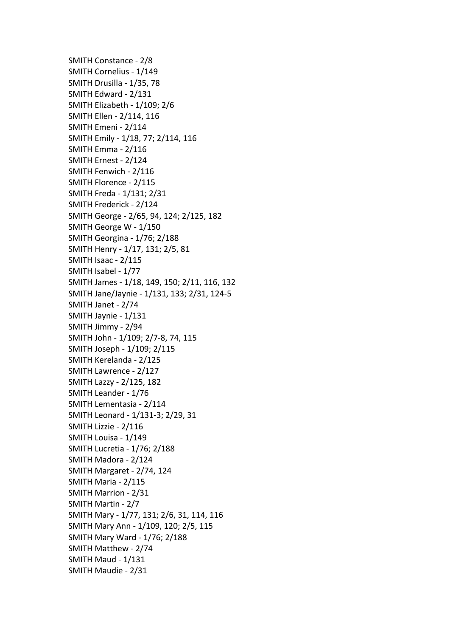SMITH Constance - 2/8 SMITH Cornelius - 1/149 SMITH Drusilla - 1/35, 78 SMITH Edward - 2/131 SMITH Elizabeth - 1/109: 2/6 SMITH Ellen - 2/114, 116 SMITH Emeni - 2/114 SMITH Emily - 1/18, 77; 2/114, 116 SMITH Emma - 2/116 SMITH Ernest - 2/124 SMITH Fenwich - 2/116 SMITH Florence - 2/115 SMITH Freda - 1/131; 2/31 SMITH Frederick - 2/124 SMITH George - 2/65, 94, 124; 2/125, 182 SMITH George W - 1/150 SMITH Georgina - 1/76; 2/188 SMITH Henry - 1/17, 131; 2/5, 81 SMITH Isaac - 2/115 SMITH Isabel - 1/77 SMITH James - 1/18, 149, 150; 2/11, 116, 132 SMITH Jane/Jaynie - 1/131, 133; 2/31, 124-5 SMITH Janet - 2/74 SMITH Jaynie - 1/131 SMITH Jimmy - 2/94 SMITH John - 1/109; 2/7-8, 74, 115 SMITH Joseph - 1/109; 2/115 SMITH Kerelanda - 2/125 SMITH Lawrence - 2/127 SMITH Lazzy - 2/125, 182 SMITH Leander - 1/76 SMITH Lementasia - 2/114 SMITH Leonard - 1/131-3; 2/29, 31 SMITH Lizzie - 2/116 SMITH Louisa - 1/149 SMITH Lucretia - 1/76; 2/188 SMITH Madora - 2/124 SMITH Margaret - 2/74, 124 SMITH Maria - 2/115 SMITH Marrion - 2/31 SMITH Martin - 2/7 SMITH Mary - 1/77, 131; 2/6, 31, 114, 116 SMITH Mary Ann - 1/109, 120; 2/5, 115 SMITH Mary Ward - 1/76; 2/188 SMITH Matthew - 2/74 SMITH Maud - 1/131 SMITH Maudie - 2/31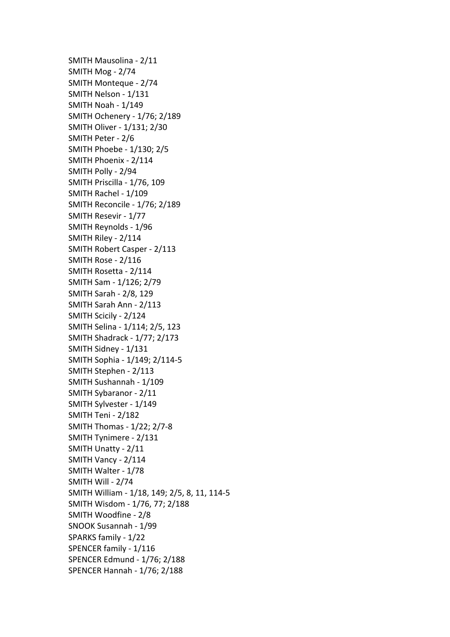SMITH Mausolina - 2/11 SMITH Mog - 2/74 SMITH Monteque - 2/74 SMITH Nelson - 1/131 SMITH Noah - 1/149 SMITH Ochenery - 1/76; 2/189 SMITH Oliver - 1/131; 2/30 SMITH Peter - 2/6 SMITH Phoebe - 1/130; 2/5 SMITH Phoenix - 2/114 SMITH Polly - 2/94 SMITH Priscilla - 1/76, 109 SMITH Rachel - 1/109 SMITH Reconcile - 1/76; 2/189 SMITH Resevir - 1/77 SMITH Reynolds - 1/96 SMITH Riley - 2/114 SMITH Robert Casper - 2/113 SMITH Rose - 2/116 SMITH Rosetta - 2/114 SMITH Sam - 1/126; 2/79 SMITH Sarah - 2/8, 129 SMITH Sarah Ann - 2/113 SMITH Scicily - 2/124 SMITH Selina - 1/114; 2/5, 123 SMITH Shadrack - 1/77; 2/173 SMITH Sidney - 1/131 SMITH Sophia - 1/149; 2/114-5 SMITH Stephen - 2/113 SMITH Sushannah - 1/109 SMITH Sybaranor - 2/11 SMITH Sylvester - 1/149 SMITH Teni - 2/182 SMITH Thomas - 1/22; 2/7-8 SMITH Tynimere - 2/131 SMITH Unatty - 2/11 SMITH Vancy - 2/114 SMITH Walter - 1/78 SMITH Will - 2/74 SMITH William - 1/18, 149; 2/5, 8, 11, 114-5 SMITH Wisdom - 1/76, 77; 2/188 SMITH Woodfine - 2/8 SNOOK Susannah - 1/99 SPARKS family - 1/22 SPENCER family - 1/116 SPENCER Edmund - 1/76; 2/188 SPENCER Hannah - 1/76; 2/188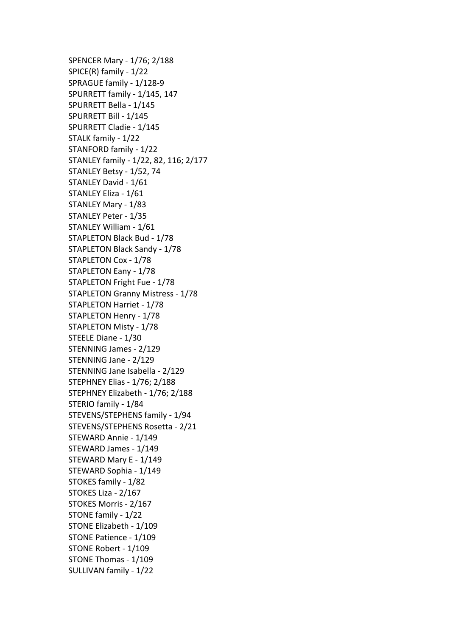SPENCER Mary - 1/76; 2/188 SPICE $(R)$  family -  $1/22$ SPRAGUE family - 1/128-9 SPURRETT family - 1/145, 147 SPURRETT Bella - 1/145 SPURRETT Bill - 1/145 SPURRETT Cladie - 1/145 STALK family - 1/22 STANFORD family - 1/22 STANLEY family - 1/22, 82, 116; 2/177 STANLEY Betsy - 1/52, 74 STANLEY David - 1/61 STANLEY Eliza - 1/61 STANLEY Mary - 1/83 STANLEY Peter - 1/35 STANLEY William - 1/61 STAPLETON Black Bud - 1/78 STAPLETON Black Sandy - 1/78 STAPLETON Cox - 1/78 STAPLETON Eany - 1/78 STAPLETON Fright Fue - 1/78 STAPLETON Granny Mistress - 1/78 STAPLETON Harriet - 1/78 STAPLETON Henry - 1/78 STAPLETON Misty - 1/78 STEELE Diane - 1/30 STENNING James - 2/129 STENNING Jane - 2/129 STENNING Jane Isabella - 2/129 STEPHNEY Elias - 1/76; 2/188 STEPHNEY Elizabeth - 1/76; 2/188 STERIO family - 1/84 STEVENS/STEPHENS family - 1/94 STEVENS/STEPHENS Rosetta - 2/21 STEWARD Annie - 1/149 STEWARD James - 1/149 STEWARD Mary E - 1/149 STEWARD Sophia - 1/149 STOKES family - 1/82 STOKES Liza - 2/167 STOKES Morris - 2/167 STONE family - 1/22 STONE Elizabeth - 1/109 STONE Patience - 1/109 STONE Robert - 1/109 STONE Thomas - 1/109 SULLIVAN family - 1/22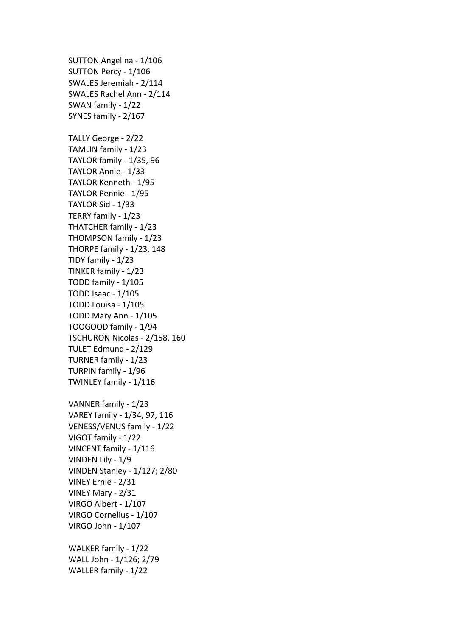SUTTON Angelina - 1/106 SUTTON Percy - 1/106 SWALES Jeremiah - 2/114 SWALES Rachel Ann - 2/114 SWAN family - 1/22 SYNES family - 2/167 TALLY George - 2/22 TAMLIN family - 1/23 TAYLOR family - 1/35, 96 TAYLOR Annie - 1/33 TAYLOR Kenneth - 1/95 TAYLOR Pennie - 1/95 TAYLOR Sid - 1/33 TERRY family - 1/23 THATCHER family - 1/23 THOMPSON family - 1/23 THORPE family -  $1/23$ ,  $148$ TIDY family - 1/23 TINKER family - 1/23 TODD family - 1/105 TODD Isaac - 1/105 TODD Louisa - 1/105 TODD Mary Ann - 1/105 TOOGOOD family - 1/94 TSCHURON Nicolas - 2/158, 160 TULET Edmund - 2/129 TURNER family - 1/23 TURPIN family - 1/96 TWINLEY family - 1/116 VANNER family - 1/23 VAREY family - 1/34, 97, 116 VENESS/VENUS family - 1/22 VIGOT family - 1/22 VINCENT family - 1/116 VINDEN Lily - 1/9 VINDEN Stanley - 1/127; 2/80 VINEY Ernie - 2/31 VINEY Mary - 2/31 VIRGO Albert - 1/107 VIRGO Cornelius - 1/107 VIRGO John - 1/107

WALKER family - 1/22 WALL John - 1/126; 2/79 WALLER family - 1/22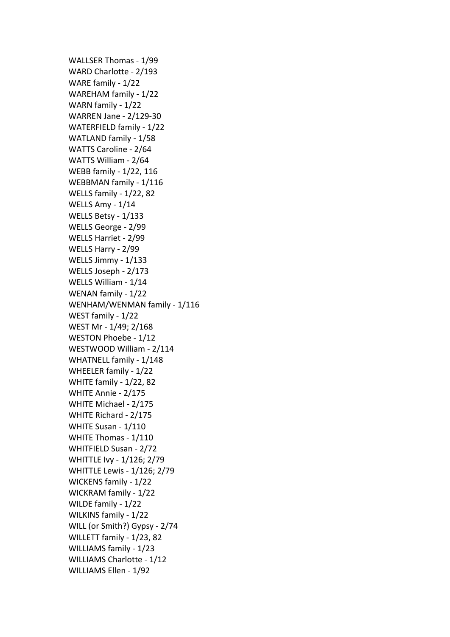WALLSER Thomas - 1/99 WARD Charlotte - 2/193 WARE family - 1/22 WAREHAM family - 1/22 WARN family - 1/22 WARREN Jane - 2/129-30 WATERFIELD family - 1/22 WATLAND family - 1/58 WATTS Caroline - 2/64 WATTS William - 2/64 WEBB family - 1/22, 116 WEBBMAN family - 1/116 WELLS family - 1/22, 82 WELLS Amy - 1/14 WELLS Betsy - 1/133 WELLS George - 2/99 WELLS Harriet - 2/99 WELLS Harry - 2/99 WELLS Jimmy - 1/133 WELLS Joseph - 2/173 WELLS William - 1/14 WENAN family - 1/22 WENHAM/WENMAN family - 1/116 WEST family - 1/22 WEST Mr - 1/49; 2/168 WESTON Phoebe - 1/12 WESTWOOD William - 2/114 WHATNELL family - 1/148 WHEELER family - 1/22 WHITE family - 1/22, 82 WHITE Annie - 2/175 WHITE Michael - 2/175 WHITE Richard - 2/175 WHITE Susan - 1/110 WHITE Thomas - 1/110 WHITFIELD Susan - 2/72 WHITTLE Ivy - 1/126; 2/79 WHITTLE Lewis - 1/126; 2/79 WICKENS family - 1/22 WICKRAM family - 1/22 WILDE family - 1/22 WILKINS family - 1/22 WILL (or Smith?) Gypsy - 2/74 WILLETT family - 1/23, 82 WILLIAMS family - 1/23 WILLIAMS Charlotte - 1/12 WILLIAMS Ellen - 1/92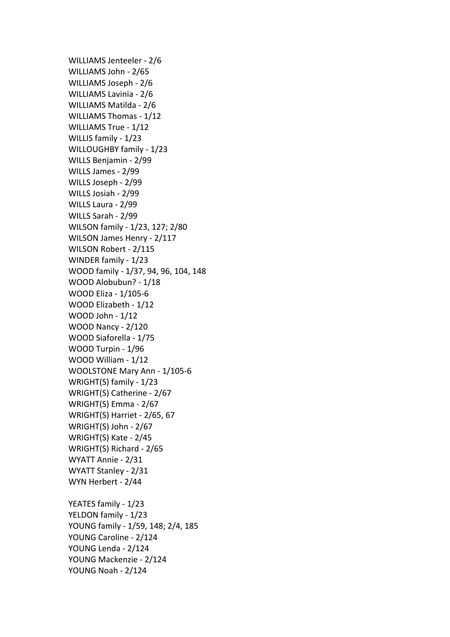WILLIAMS Jenteeler - 2/6 WILLIAMS John - 2/65 WILLIAMS Joseph - 2/6 WILLIAMS Lavinia - 2/6 WILLIAMS Matilda - 2/6 WILLIAMS Thomas - 1/12 WILLIAMS True - 1/12 WILLIS family - 1/23 WILLOUGHBY family - 1/23 WILLS Benjamin - 2/99 WILLS James - 2/99 WILLS Joseph - 2/99 WILLS Josiah - 2/99 WILLS Laura - 2/99 WILLS Sarah - 2/99 WILSON family - 1/23, 127; 2/80 WILSON James Henry - 2/117 WILSON Robert - 2/115 WINDER family - 1/23 WOOD family - 1/37, 94, 96, 104, 148 WOOD Alobubun? - 1/18 WOOD Eliza - 1/105-6 WOOD Elizabeth - 1/12 WOOD John  $-1/12$ WOOD Nancy - 2/120 WOOD Siaforella - 1/75 WOOD Turpin - 1/96 WOOD William - 1/12 WOOLSTONE Mary Ann - 1/105-6 WRIGHT(S) family  $-1/23$ WRIGHT(S) Catherine - 2/67 WRIGHT(S) Emma - 2/67 WRIGHT(S) Harriet - 2/65, 67 WRIGHT(S) John - 2/67 WRIGHT(S) Kate - 2/45 WRIGHT(S) Richard - 2/65 WYATT Annie - 2/31 WYATT Stanley - 2/31 WYN Herbert - 2/44 YEATES family - 1/23 YELDON family - 1/23 YOUNG family - 1/59, 148; 2/4, 185 YOUNG Caroline - 2/124 YOUNG Lenda - 2/124

YOUNG Mackenzie - 2/124 YOUNG Noah - 2/124